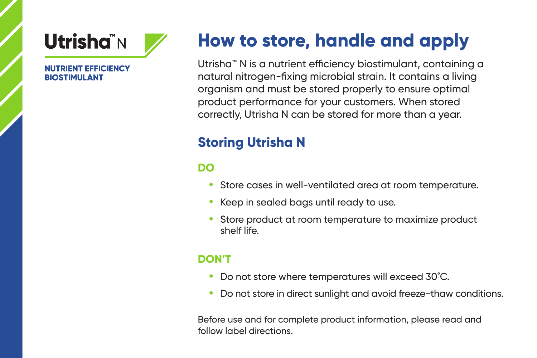

#### **NUTRIENT FEFICIENCY BIOSTIMULANT**

# **How to store, handle and apply**

Utrisha™ N is a nutrient efficiency biostimulant, containing a natural nitrogen-fixing microbial strain. It contains a living organism and must be stored properly to ensure optimal product performance for your customers. When stored correctly, Utrisha N can be stored for more than a year.

## **Storing Utrisha N**

### **DO**

- **•** Store cases in well-ventilated area at room temperature.
- **•** Keep in sealed bags until ready to use.
- **•** Store product at room temperature to maximize product shelf life.

#### **DON'T**

- **•** Do not store where temperatures will exceed 30˚C.
- **•** Do not store in direct sunlight and avoid freeze-thaw conditions.

Before use and for complete product information, please read and follow label directions.